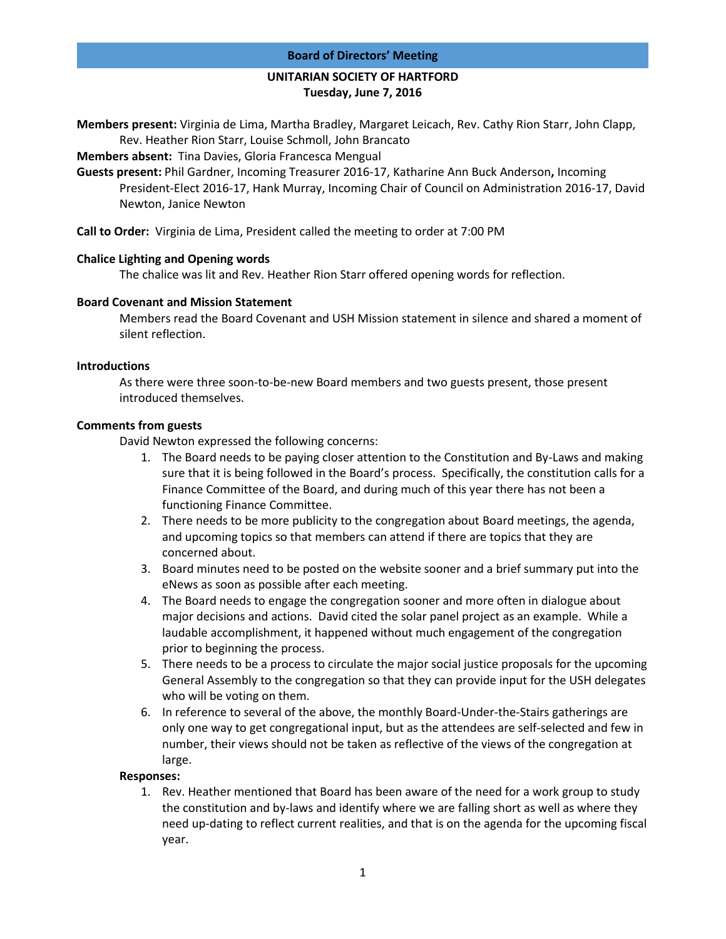#### **Board of Directors' Meeting**

# **UNITARIAN SOCIETY OF HARTFORD Tuesday, June 7, 2016**

**Members present:** Virginia de Lima, Martha Bradley, Margaret Leicach, Rev. Cathy Rion Starr, John Clapp, Rev. Heather Rion Starr, Louise Schmoll, John Brancato

**Members absent:** Tina Davies, Gloria Francesca Mengual

**Guests present:** Phil Gardner, Incoming Treasurer 2016-17, Katharine Ann Buck Anderson**,** Incoming President-Elect 2016-17, Hank Murray, Incoming Chair of Council on Administration 2016-17, David Newton, Janice Newton

**Call to Order:** Virginia de Lima, President called the meeting to order at 7:00 PM

## **Chalice Lighting and Opening words**

The chalice was lit and Rev. Heather Rion Starr offered opening words for reflection.

## **Board Covenant and Mission Statement**

Members read the Board Covenant and USH Mission statement in silence and shared a moment of silent reflection.

#### **Introductions**

As there were three soon-to-be-new Board members and two guests present, those present introduced themselves.

## **Comments from guests**

David Newton expressed the following concerns:

- 1. The Board needs to be paying closer attention to the Constitution and By-Laws and making sure that it is being followed in the Board's process. Specifically, the constitution calls for a Finance Committee of the Board, and during much of this year there has not been a functioning Finance Committee.
- 2. There needs to be more publicity to the congregation about Board meetings, the agenda, and upcoming topics so that members can attend if there are topics that they are concerned about.
- 3. Board minutes need to be posted on the website sooner and a brief summary put into the eNews as soon as possible after each meeting.
- 4. The Board needs to engage the congregation sooner and more often in dialogue about major decisions and actions. David cited the solar panel project as an example. While a laudable accomplishment, it happened without much engagement of the congregation prior to beginning the process.
- 5. There needs to be a process to circulate the major social justice proposals for the upcoming General Assembly to the congregation so that they can provide input for the USH delegates who will be voting on them.
- 6. In reference to several of the above, the monthly Board-Under-the-Stairs gatherings are only one way to get congregational input, but as the attendees are self-selected and few in number, their views should not be taken as reflective of the views of the congregation at large.

#### **Responses:**

1. Rev. Heather mentioned that Board has been aware of the need for a work group to study the constitution and by-laws and identify where we are falling short as well as where they need up-dating to reflect current realities, and that is on the agenda for the upcoming fiscal year.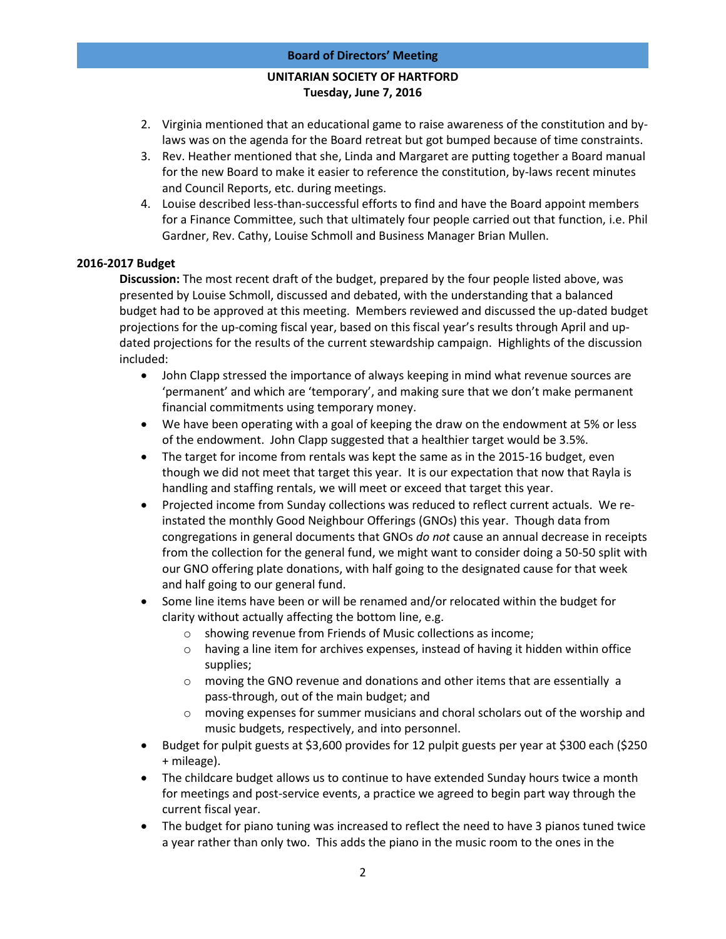# **UNITARIAN SOCIETY OF HARTFORD Tuesday, June 7, 2016**

- 2. Virginia mentioned that an educational game to raise awareness of the constitution and bylaws was on the agenda for the Board retreat but got bumped because of time constraints.
- 3. Rev. Heather mentioned that she, Linda and Margaret are putting together a Board manual for the new Board to make it easier to reference the constitution, by-laws recent minutes and Council Reports, etc. during meetings.
- 4. Louise described less-than-successful efforts to find and have the Board appoint members for a Finance Committee, such that ultimately four people carried out that function, i.e. Phil Gardner, Rev. Cathy, Louise Schmoll and Business Manager Brian Mullen.

# **2016-2017 Budget**

**Discussion:** The most recent draft of the budget, prepared by the four people listed above, was presented by Louise Schmoll, discussed and debated, with the understanding that a balanced budget had to be approved at this meeting. Members reviewed and discussed the up-dated budget projections for the up-coming fiscal year, based on this fiscal year's results through April and updated projections for the results of the current stewardship campaign. Highlights of the discussion included:

- John Clapp stressed the importance of always keeping in mind what revenue sources are 'permanent' and which are 'temporary', and making sure that we don't make permanent financial commitments using temporary money.
- We have been operating with a goal of keeping the draw on the endowment at 5% or less of the endowment. John Clapp suggested that a healthier target would be 3.5%.
- The target for income from rentals was kept the same as in the 2015-16 budget, even though we did not meet that target this year. It is our expectation that now that Rayla is handling and staffing rentals, we will meet or exceed that target this year.
- Projected income from Sunday collections was reduced to reflect current actuals. We reinstated the monthly Good Neighbour Offerings (GNOs) this year. Though data from congregations in general documents that GNOs *do not* cause an annual decrease in receipts from the collection for the general fund, we might want to consider doing a 50-50 split with our GNO offering plate donations, with half going to the designated cause for that week and half going to our general fund.
- Some line items have been or will be renamed and/or relocated within the budget for clarity without actually affecting the bottom line, e.g.
	- o showing revenue from Friends of Music collections as income;
	- $\circ$  having a line item for archives expenses, instead of having it hidden within office supplies;
	- $\circ$  moving the GNO revenue and donations and other items that are essentially a pass-through, out of the main budget; and
	- $\circ$  moving expenses for summer musicians and choral scholars out of the worship and music budgets, respectively, and into personnel.
- Budget for pulpit guests at \$3,600 provides for 12 pulpit guests per year at \$300 each (\$250 + mileage).
- The childcare budget allows us to continue to have extended Sunday hours twice a month for meetings and post-service events, a practice we agreed to begin part way through the current fiscal year.
- The budget for piano tuning was increased to reflect the need to have 3 pianos tuned twice a year rather than only two. This adds the piano in the music room to the ones in the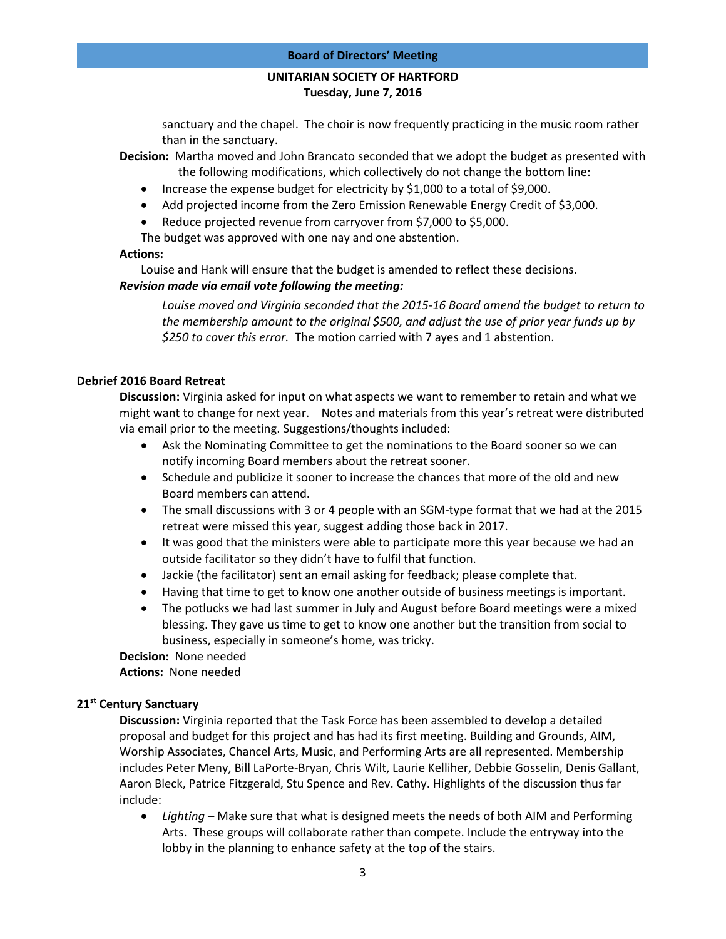# **UNITARIAN SOCIETY OF HARTFORD Tuesday, June 7, 2016**

sanctuary and the chapel. The choir is now frequently practicing in the music room rather than in the sanctuary.

**Decision:** Martha moved and John Brancato seconded that we adopt the budget as presented with the following modifications, which collectively do not change the bottom line:

- Increase the expense budget for electricity by \$1,000 to a total of \$9,000.
- Add projected income from the Zero Emission Renewable Energy Credit of \$3,000.
- Reduce projected revenue from carryover from \$7,000 to \$5,000.

The budget was approved with one nay and one abstention.

#### **Actions:**

Louise and Hank will ensure that the budget is amended to reflect these decisions.

## *Revision made via email vote following the meeting:*

*Louise moved and Virginia seconded that the 2015-16 Board amend the budget to return to the membership amount to the original \$500, and adjust the use of prior year funds up by \$250 to cover this error.* The motion carried with 7 ayes and 1 abstention.

## **Debrief 2016 Board Retreat**

**Discussion:** Virginia asked for input on what aspects we want to remember to retain and what we might want to change for next year. Notes and materials from this year's retreat were distributed via email prior to the meeting. Suggestions/thoughts included:

- Ask the Nominating Committee to get the nominations to the Board sooner so we can notify incoming Board members about the retreat sooner.
- Schedule and publicize it sooner to increase the chances that more of the old and new Board members can attend.
- The small discussions with 3 or 4 people with an SGM-type format that we had at the 2015 retreat were missed this year, suggest adding those back in 2017.
- It was good that the ministers were able to participate more this year because we had an outside facilitator so they didn't have to fulfil that function.
- Jackie (the facilitator) sent an email asking for feedback; please complete that.
- Having that time to get to know one another outside of business meetings is important.
- The potlucks we had last summer in July and August before Board meetings were a mixed blessing. They gave us time to get to know one another but the transition from social to business, especially in someone's home, was tricky.

**Decision:** None needed

**Actions:** None needed

# **21st Century Sanctuary**

**Discussion:** Virginia reported that the Task Force has been assembled to develop a detailed proposal and budget for this project and has had its first meeting. Building and Grounds, AIM, Worship Associates, Chancel Arts, Music, and Performing Arts are all represented. Membership includes Peter Meny, Bill LaPorte-Bryan, Chris Wilt, Laurie Kelliher, Debbie Gosselin, Denis Gallant, Aaron Bleck, Patrice Fitzgerald, Stu Spence and Rev. Cathy. Highlights of the discussion thus far include:

 *Lighting* – Make sure that what is designed meets the needs of both AIM and Performing Arts. These groups will collaborate rather than compete. Include the entryway into the lobby in the planning to enhance safety at the top of the stairs.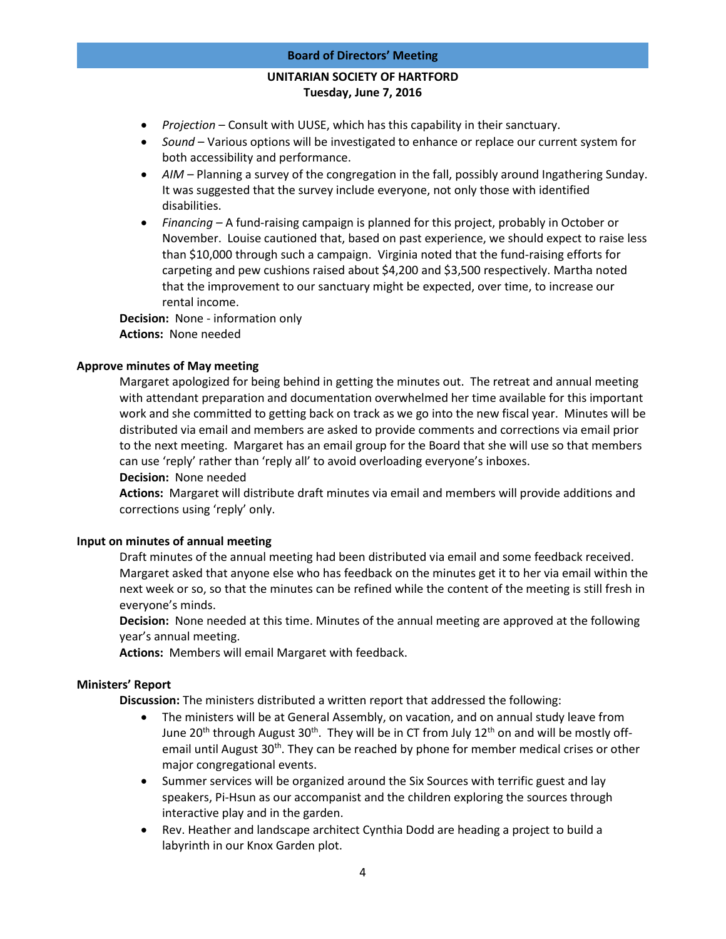#### **Board of Directors' Meeting**

# **UNITARIAN SOCIETY OF HARTFORD Tuesday, June 7, 2016**

- *Projection* Consult with UUSE, which has this capability in their sanctuary.
- *Sound*  Various options will be investigated to enhance or replace our current system for both accessibility and performance.
- AIM Planning a survey of the congregation in the fall, possibly around Ingathering Sunday. It was suggested that the survey include everyone, not only those with identified disabilities.
- *Financing –* A fund-raising campaign is planned for this project, probably in October or November. Louise cautioned that, based on past experience, we should expect to raise less than \$10,000 through such a campaign. Virginia noted that the fund-raising efforts for carpeting and pew cushions raised about \$4,200 and \$3,500 respectively. Martha noted that the improvement to our sanctuary might be expected, over time, to increase our rental income.

**Decision:** None - information only **Actions:** None needed

## **Approve minutes of May meeting**

Margaret apologized for being behind in getting the minutes out. The retreat and annual meeting with attendant preparation and documentation overwhelmed her time available for this important work and she committed to getting back on track as we go into the new fiscal year. Minutes will be distributed via email and members are asked to provide comments and corrections via email prior to the next meeting. Margaret has an email group for the Board that she will use so that members can use 'reply' rather than 'reply all' to avoid overloading everyone's inboxes.

**Decision:** None needed

**Actions:** Margaret will distribute draft minutes via email and members will provide additions and corrections using 'reply' only.

#### **Input on minutes of annual meeting**

Draft minutes of the annual meeting had been distributed via email and some feedback received. Margaret asked that anyone else who has feedback on the minutes get it to her via email within the next week or so, so that the minutes can be refined while the content of the meeting is still fresh in everyone's minds.

**Decision:** None needed at this time. Minutes of the annual meeting are approved at the following year's annual meeting.

**Actions:** Members will email Margaret with feedback.

## **Ministers' Report**

**Discussion:** The ministers distributed a written report that addressed the following:

- The ministers will be at General Assembly, on vacation, and on annual study leave from June 20<sup>th</sup> through August 30<sup>th</sup>. They will be in CT from July 12<sup>th</sup> on and will be mostly offemail until August 30<sup>th</sup>. They can be reached by phone for member medical crises or other major congregational events.
- Summer services will be organized around the Six Sources with terrific guest and lay speakers, Pi-Hsun as our accompanist and the children exploring the sources through interactive play and in the garden.
- Rev. Heather and landscape architect Cynthia Dodd are heading a project to build a labyrinth in our Knox Garden plot.